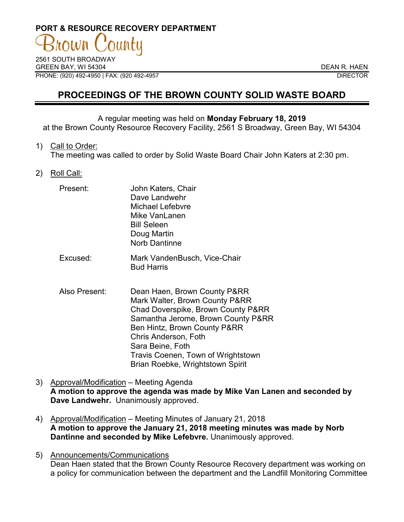# **PORT & RESOURCE RECOVERY DEPARTMENT**

2561 SOUTH BROADWAY GREEN BAY, WI 54304 DEAN R. HAEN PHONE: (920) 492-4950 | FAX: (920 492-4957 DIRECTOR

# **PROCEEDINGS OF THE BROWN COUNTY SOLID WASTE BOARD**

#### A regular meeting was held on **Monday February 18, 2019**

at the Brown County Resource Recovery Facility, 2561 S Broadway, Green Bay, WI 54304

1) Call to Order:

The meeting was called to order by Solid Waste Board Chair John Katers at 2:30 pm.

2) Roll Call:

| Present: | John Katers, Chair<br>Dave Landwehr<br><b>Michael Lefebvre</b><br>Mike VanLanen<br><b>Bill Seleen</b><br>Doug Martin<br><b>Norb Dantinne</b> |
|----------|----------------------------------------------------------------------------------------------------------------------------------------------|
|          | $M = I \cup I$ . It is $D = I \cup I$ is $A \cup I$                                                                                          |

- Excused: Mark VandenBusch, Vice-Chair Bud Harris
- Also Present: Dean Haen, Brown County P&RR Mark Walter, Brown County P&RR Chad Doverspike, Brown County P&RR Samantha Jerome, Brown County P&RR Ben Hintz, Brown County P&RR Chris Anderson, Foth Sara Beine, Foth Travis Coenen, Town of Wrightstown Brian Roebke, Wrightstown Spirit
- 3) Approval/Modification Meeting Agenda **A motion to approve the agenda was made by Mike Van Lanen and seconded by Dave Landwehr.** Unanimously approved.
- 4) Approval/Modification Meeting Minutes of January 21, 2018 **A motion to approve the January 21, 2018 meeting minutes was made by Norb Dantinne and seconded by Mike Lefebvre.** Unanimously approved.
- 5) Announcements/Communications Dean Haen stated that the Brown County Resource Recovery department was working on a policy for communication between the department and the Landfill Monitoring Committee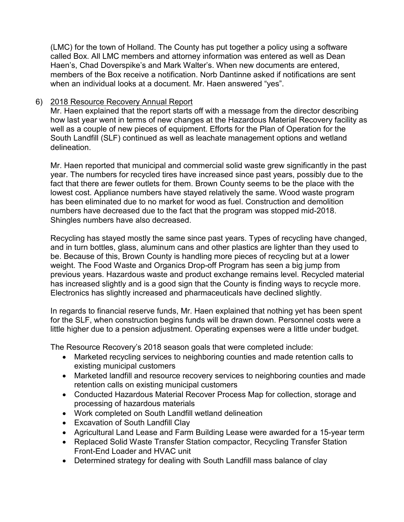(LMC) for the town of Holland. The County has put together a policy using a software called Box. All LMC members and attorney information was entered as well as Dean Haen's, Chad Doverspike's and Mark Walter's. When new documents are entered, members of the Box receive a notification. Norb Dantinne asked if notifications are sent when an individual looks at a document. Mr. Haen answered "yes".

# 6) 2018 Resource Recovery Annual Report

Mr. Haen explained that the report starts off with a message from the director describing how last year went in terms of new changes at the Hazardous Material Recovery facility as well as a couple of new pieces of equipment. Efforts for the Plan of Operation for the South Landfill (SLF) continued as well as leachate management options and wetland delineation.

Mr. Haen reported that municipal and commercial solid waste grew significantly in the past year. The numbers for recycled tires have increased since past years, possibly due to the fact that there are fewer outlets for them. Brown County seems to be the place with the lowest cost. Appliance numbers have stayed relatively the same. Wood waste program has been eliminated due to no market for wood as fuel. Construction and demolition numbers have decreased due to the fact that the program was stopped mid-2018. Shingles numbers have also decreased.

Recycling has stayed mostly the same since past years. Types of recycling have changed, and in turn bottles, glass, aluminum cans and other plastics are lighter than they used to be. Because of this, Brown County is handling more pieces of recycling but at a lower weight. The Food Waste and Organics Drop-off Program has seen a big jump from previous years. Hazardous waste and product exchange remains level. Recycled material has increased slightly and is a good sign that the County is finding ways to recycle more. Electronics has slightly increased and pharmaceuticals have declined slightly.

In regards to financial reserve funds, Mr. Haen explained that nothing yet has been spent for the SLF, when construction begins funds will be drawn down. Personnel costs were a little higher due to a pension adjustment. Operating expenses were a little under budget.

The Resource Recovery's 2018 season goals that were completed include:

- Marketed recycling services to neighboring counties and made retention calls to existing municipal customers
- Marketed landfill and resource recovery services to neighboring counties and made retention calls on existing municipal customers
- Conducted Hazardous Material Recover Process Map for collection, storage and processing of hazardous materials
- Work completed on South Landfill wetland delineation
- Excavation of South Landfill Clay
- Agricultural Land Lease and Farm Building Lease were awarded for a 15-year term
- Replaced Solid Waste Transfer Station compactor, Recycling Transfer Station Front-End Loader and HVAC unit
- Determined strategy for dealing with South Landfill mass balance of clay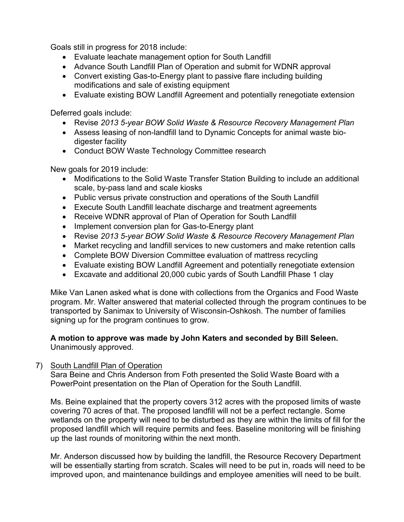Goals still in progress for 2018 include:

- Evaluate leachate management option for South Landfill
- Advance South Landfill Plan of Operation and submit for WDNR approval
- Convert existing Gas-to-Energy plant to passive flare including building modifications and sale of existing equipment
- Evaluate existing BOW Landfill Agreement and potentially renegotiate extension

Deferred goals include:

- Revise *2013 5-year BOW Solid Waste & Resource Recovery Management Plan*
- Assess leasing of non-landfill land to Dynamic Concepts for animal waste biodigester facility
- Conduct BOW Waste Technology Committee research

New goals for 2019 include:

- Modifications to the Solid Waste Transfer Station Building to include an additional scale, by-pass land and scale kiosks
- Public versus private construction and operations of the South Landfill
- Execute South Landfill leachate discharge and treatment agreements
- Receive WDNR approval of Plan of Operation for South Landfill
- Implement conversion plan for Gas-to-Energy plant
- Revise *2013 5-year BOW Solid Waste & Resource Recovery Management Plan*
- Market recycling and landfill services to new customers and make retention calls
- Complete BOW Diversion Committee evaluation of mattress recycling
- Evaluate existing BOW Landfill Agreement and potentially renegotiate extension
- Excavate and additional 20,000 cubic yards of South Landfill Phase 1 clay

Mike Van Lanen asked what is done with collections from the Organics and Food Waste program. Mr. Walter answered that material collected through the program continues to be transported by Sanimax to University of Wisconsin-Oshkosh. The number of families signing up for the program continues to grow.

#### **A motion to approve was made by John Katers and seconded by Bill Seleen.**  Unanimously approved.

## 7) South Landfill Plan of Operation

Sara Beine and Chris Anderson from Foth presented the Solid Waste Board with a PowerPoint presentation on the Plan of Operation for the South Landfill.

Ms. Beine explained that the property covers 312 acres with the proposed limits of waste covering 70 acres of that. The proposed landfill will not be a perfect rectangle. Some wetlands on the property will need to be disturbed as they are within the limits of fill for the proposed landfill which will require permits and fees. Baseline monitoring will be finishing up the last rounds of monitoring within the next month.

Mr. Anderson discussed how by building the landfill, the Resource Recovery Department will be essentially starting from scratch. Scales will need to be put in, roads will need to be improved upon, and maintenance buildings and employee amenities will need to be built.